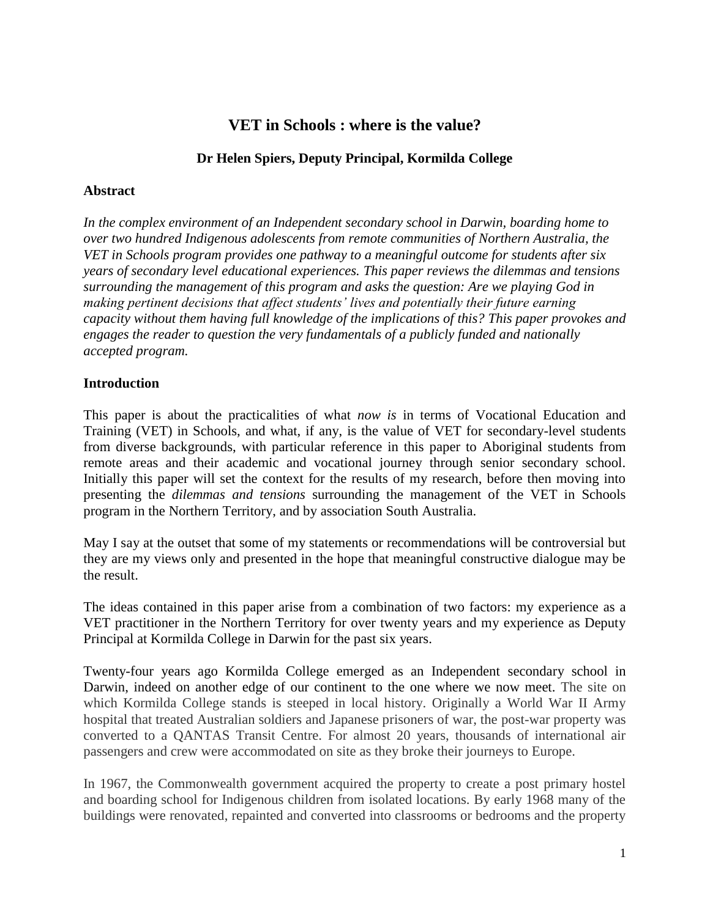# **VET in Schools : where is the value?**

### **Dr Helen Spiers, Deputy Principal, Kormilda College**

### **Abstract**

*In the complex environment of an Independent secondary school in Darwin, boarding home to over two hundred Indigenous adolescents from remote communities of Northern Australia, the VET in Schools program provides one pathway to a meaningful outcome for students after six years of secondary level educational experiences. This paper reviews the dilemmas and tensions surrounding the management of this program and asks the question: Are we playing God in making pertinent decisions that affect students' lives and potentially their future earning capacity without them having full knowledge of the implications of this? This paper provokes and engages the reader to question the very fundamentals of a publicly funded and nationally accepted program.*

### **Introduction**

This paper is about the practicalities of what *now is* in terms of Vocational Education and Training (VET) in Schools, and what, if any, is the value of VET for secondary-level students from diverse backgrounds, with particular reference in this paper to Aboriginal students from remote areas and their academic and vocational journey through senior secondary school. Initially this paper will set the context for the results of my research, before then moving into presenting the *dilemmas and tensions* surrounding the management of the VET in Schools program in the Northern Territory, and by association South Australia.

May I say at the outset that some of my statements or recommendations will be controversial but they are my views only and presented in the hope that meaningful constructive dialogue may be the result.

The ideas contained in this paper arise from a combination of two factors: my experience as a VET practitioner in the Northern Territory for over twenty years and my experience as Deputy Principal at Kormilda College in Darwin for the past six years.

Twenty-four years ago Kormilda College emerged as an Independent secondary school in Darwin, indeed on another edge of our continent to the one where we now meet. The site on which Kormilda College stands is steeped in local history. Originally a World War II Army hospital that treated Australian soldiers and Japanese prisoners of war, the post-war property was converted to a QANTAS Transit Centre. For almost 20 years, thousands of international air passengers and crew were accommodated on site as they broke their journeys to Europe.

In 1967, the Commonwealth government acquired the property to create a post primary hostel and boarding school for Indigenous children from isolated locations. By early 1968 many of the buildings were renovated, repainted and converted into classrooms or bedrooms and the property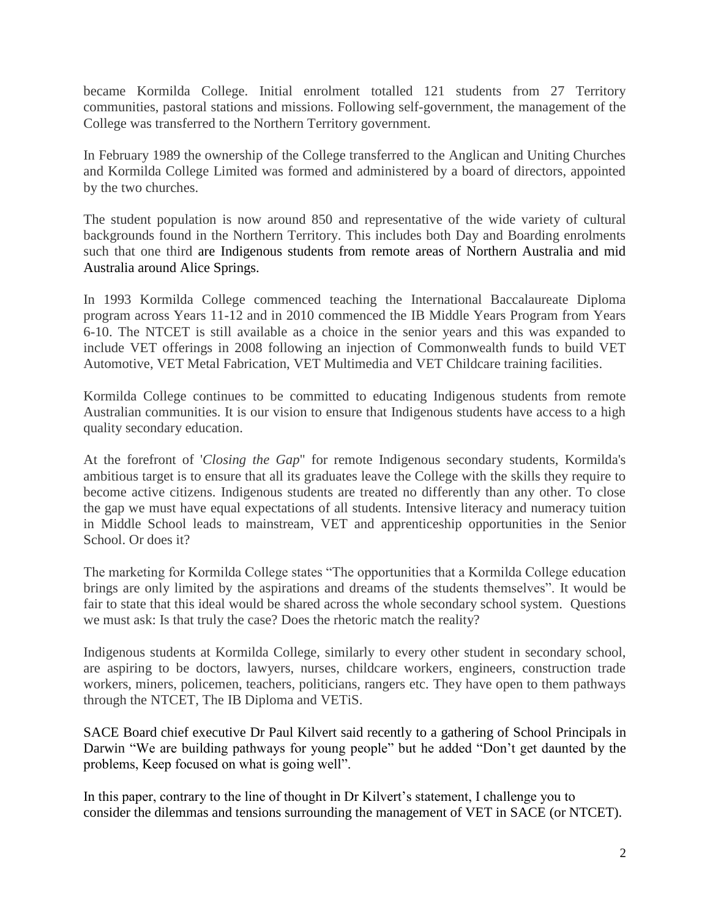became Kormilda College. Initial enrolment totalled 121 students from 27 Territory communities, pastoral stations and missions. Following self-government, the management of the College was transferred to the Northern Territory government.

In February 1989 the ownership of the College transferred to the Anglican and Uniting Churches and Kormilda College Limited was formed and administered by a board of directors, appointed by the two churches.

The student population is now around 850 and representative of the wide variety of cultural backgrounds found in the Northern Territory. This includes both Day and Boarding enrolments such that one third are Indigenous students from remote areas of Northern Australia and mid Australia around Alice Springs.

In 1993 Kormilda College commenced teaching the International Baccalaureate Diploma program across Years 11-12 and in 2010 commenced the IB Middle Years Program from Years 6-10. The NTCET is still available as a choice in the senior years and this was expanded to include VET offerings in 2008 following an injection of Commonwealth funds to build VET Automotive, VET Metal Fabrication, VET Multimedia and VET Childcare training facilities.

Kormilda College continues to be committed to educating Indigenous students from remote Australian communities. It is our vision to ensure that Indigenous students have access to a high quality secondary education.

At the forefront of '*Closing the Gap*" for remote Indigenous secondary students, Kormilda's ambitious target is to ensure that all its graduates leave the College with the skills they require to become active citizens. Indigenous students are treated no differently than any other. To close the gap we must have equal expectations of all students. Intensive literacy and numeracy tuition in Middle School leads to mainstream, VET and apprenticeship opportunities in the Senior School. Or does it?

The marketing for Kormilda College states "The opportunities that a Kormilda College education brings are only limited by the aspirations and dreams of the students themselves". It would be fair to state that this ideal would be shared across the whole secondary school system. Questions we must ask: Is that truly the case? Does the rhetoric match the reality?

Indigenous students at Kormilda College, similarly to every other student in secondary school, are aspiring to be doctors, lawyers, nurses, childcare workers, engineers, construction trade workers, miners, policemen, teachers, politicians, rangers etc. They have open to them pathways through the NTCET, The IB Diploma and VETiS.

SACE Board chief executive Dr Paul Kilvert said recently to a gathering of School Principals in Darwin "We are building pathways for young people" but he added "Don't get daunted by the problems, Keep focused on what is going well".

In this paper, contrary to the line of thought in Dr Kilvert's statement, I challenge you to consider the dilemmas and tensions surrounding the management of VET in SACE (or NTCET).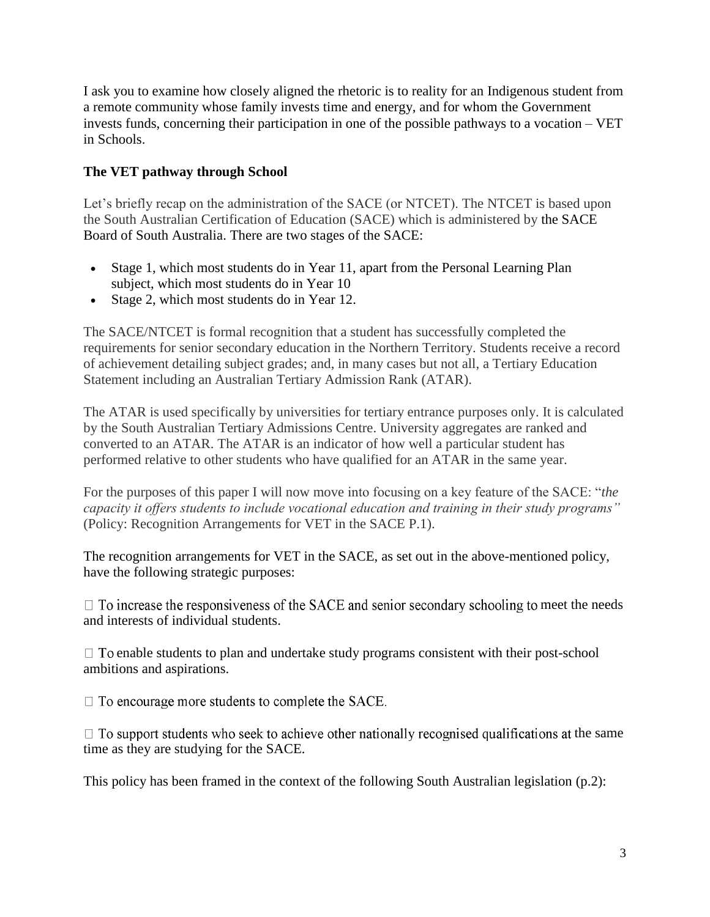I ask you to examine how closely aligned the rhetoric is to reality for an Indigenous student from a remote community whose family invests time and energy, and for whom the Government invests funds, concerning their participation in one of the possible pathways to a vocation – VET in Schools.

### **The VET pathway through School**

Let's briefly recap on the administration of the SACE (or NTCET). The NTCET is based upon the South Australian Certification of Education (SACE) which is administered by the [SACE](http://www.saceboard.sa.edu.au/)  [Board of South Australia.](http://www.saceboard.sa.edu.au/) There are two stages of the SACE:

- Stage 1, which most students do in Year 11, apart from the Personal Learning Plan subject, which most students do in Year 10
- Stage 2, which most students do in Year 12.

The SACE/NTCET is formal recognition that a student has successfully completed the requirements for senior secondary education in the Northern Territory. Students receive a record of achievement detailing subject grades; and, in many cases but not all, a Tertiary Education Statement including an Australian Tertiary Admission Rank (ATAR).

The ATAR is used specifically by universities for tertiary entrance purposes only. It is calculated by the South Australian Tertiary Admissions Centre. University aggregates are ranked and converted to an ATAR. The ATAR is an indicator of how well a particular student has performed relative to other students who have qualified for an ATAR in the same year.

For the purposes of this paper I will now move into focusing on a key feature of the SACE: "*the capacity it offers students to include vocational education and training in their study programs"* (Policy: Recognition Arrangements for VET in the SACE P.1).

The recognition arrangements for VET in the SACE, as set out in the above-mentioned policy, have the following strategic purposes:

 $\Box$  To increase the responsiveness of the SACE and senior secondary schooling to meet the needs and interests of individual students.

 $\Box$  To enable students to plan and undertake study programs consistent with their post-school ambitions and aspirations.

 $\Box$  To encourage more students to complete the SACE.

 $\Box$  To support students who seek to achieve other nationally recognised qualifications at the same time as they are studying for the SACE.

This policy has been framed in the context of the following South Australian legislation (p.2):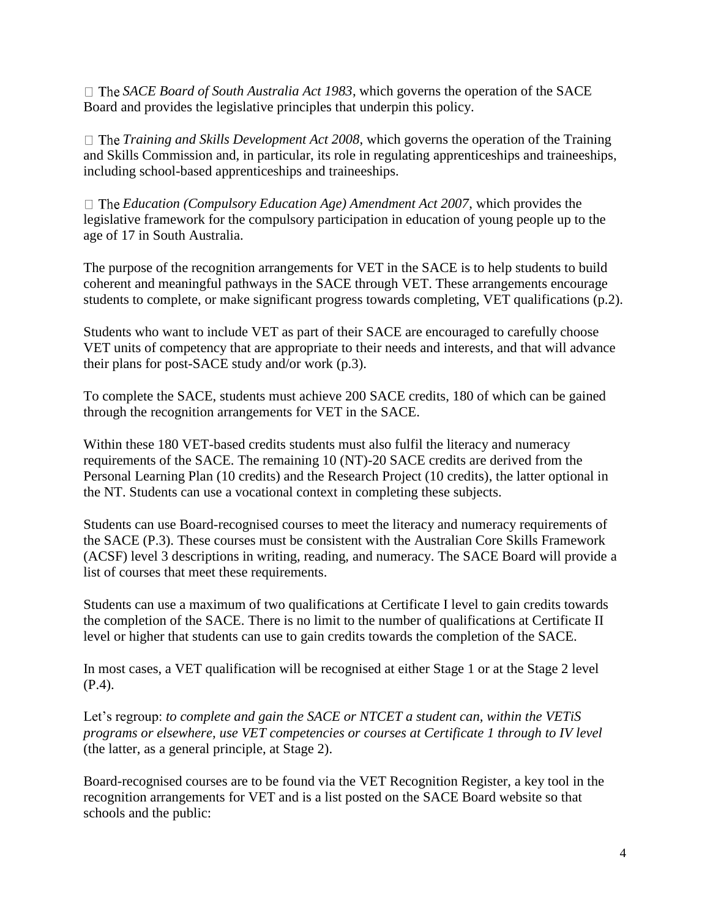*SACE Board of South Australia Act 1983*, which governs the operation of the SACE Board and provides the legislative principles that underpin this policy.

*Training and Skills Development Act 2008*, which governs the operation of the Training and Skills Commission and, in particular, its role in regulating apprenticeships and traineeships, including school-based apprenticeships and traineeships.

*Education (Compulsory Education Age) Amendment Act 2007*, which provides the legislative framework for the compulsory participation in education of young people up to the age of 17 in South Australia.

The purpose of the recognition arrangements for VET in the SACE is to help students to build coherent and meaningful pathways in the SACE through VET. These arrangements encourage students to complete, or make significant progress towards completing, VET qualifications (p.2).

Students who want to include VET as part of their SACE are encouraged to carefully choose VET units of competency that are appropriate to their needs and interests, and that will advance their plans for post-SACE study and/or work (p.3).

To complete the SACE, students must achieve 200 SACE credits, 180 of which can be gained through the recognition arrangements for VET in the SACE.

Within these 180 VET-based credits students must also fulfil the literacy and numeracy requirements of the SACE. The remaining 10 (NT)-20 SACE credits are derived from the Personal Learning Plan (10 credits) and the Research Project (10 credits), the latter optional in the NT. Students can use a vocational context in completing these subjects.

Students can use Board-recognised courses to meet the literacy and numeracy requirements of the SACE (P.3). These courses must be consistent with the Australian Core Skills Framework (ACSF) level 3 descriptions in writing, reading, and numeracy. The SACE Board will provide a list of courses that meet these requirements.

Students can use a maximum of two qualifications at Certificate I level to gain credits towards the completion of the SACE. There is no limit to the number of qualifications at Certificate II level or higher that students can use to gain credits towards the completion of the SACE.

In most cases, a VET qualification will be recognised at either Stage 1 or at the Stage 2 level (P.4).

Let's regroup: *to complete and gain the SACE or NTCET a student can, within the VETiS programs or elsewhere, use VET competencies or courses at Certificate 1 through to IV level* (the latter, as a general principle, at Stage 2).

Board-recognised courses are to be found via the VET Recognition Register, a key tool in the recognition arrangements for VET and is a list posted on the SACE Board website so that schools and the public: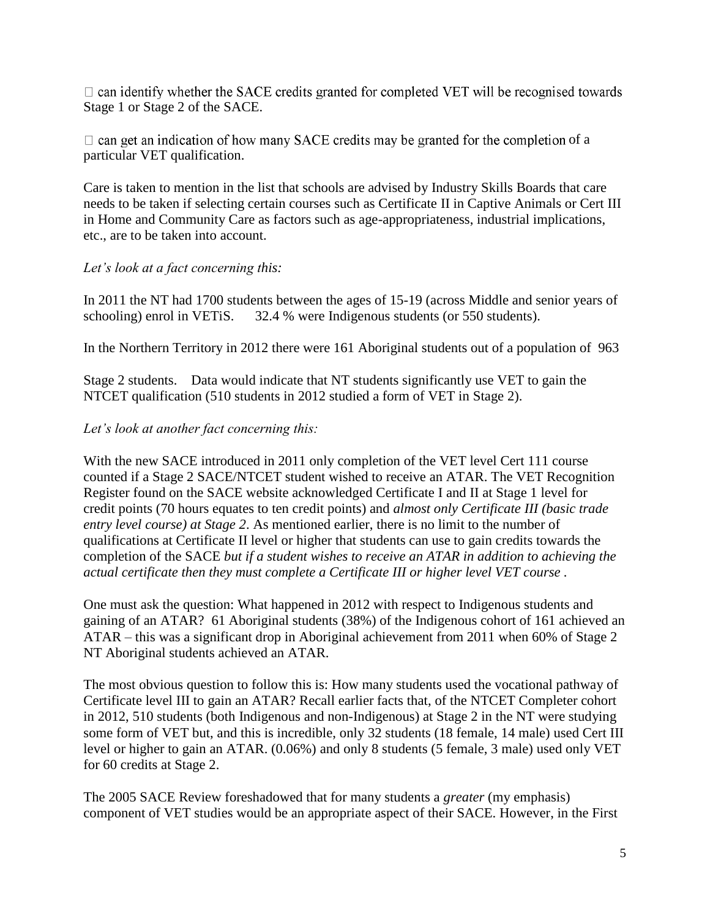$\Box$  can identify whether the SACE credits granted for completed VET will be recognised towards Stage 1 or Stage 2 of the SACE.

 $\Box$  can get an indication of how many SACE credits may be granted for the completion of a particular VET qualification.

Care is taken to mention in the list that schools are advised by Industry Skills Boards that care needs to be taken if selecting certain courses such as Certificate II in Captive Animals or Cert III in Home and Community Care as factors such as age-appropriateness, industrial implications, etc., are to be taken into account.

### *Let's look at a fact concerning this:*

In 2011 the NT had 1700 students between the ages of 15-19 (across Middle and senior years of schooling) enrol in VETiS. 32.4 % were Indigenous students (or 550 students).

In the Northern Territory in 2012 there were 161 Aboriginal students out of a population of 963

Stage 2 students. Data would indicate that NT students significantly use VET to gain the NTCET qualification (510 students in 2012 studied a form of VET in Stage 2).

### *Let's look at another fact concerning this:*

With the new SACE introduced in 2011 only completion of the VET level Cert 111 course counted if a Stage 2 SACE/NTCET student wished to receive an ATAR. The VET Recognition Register found on the SACE website acknowledged Certificate I and II at Stage 1 level for credit points (70 hours equates to ten credit points) and *almost only Certificate III (basic trade entry level course) at Stage 2*. As mentioned earlier, there is no limit to the number of qualifications at Certificate II level or higher that students can use to gain credits towards the completion of the SACE *but if a student wishes to receive an ATAR in addition to achieving the actual certificate then they must complete a Certificate III or higher level VET course .*

One must ask the question: What happened in 2012 with respect to Indigenous students and gaining of an ATAR? 61 Aboriginal students (38%) of the Indigenous cohort of 161 achieved an ATAR – this was a significant drop in Aboriginal achievement from 2011 when 60% of Stage 2 NT Aboriginal students achieved an ATAR.

The most obvious question to follow this is: How many students used the vocational pathway of Certificate level III to gain an ATAR? Recall earlier facts that, of the NTCET Completer cohort in 2012, 510 students (both Indigenous and non-Indigenous) at Stage 2 in the NT were studying some form of VET but, and this is incredible, only 32 students (18 female, 14 male) used Cert III level or higher to gain an ATAR. (0.06%) and only 8 students (5 female, 3 male) used only VET for 60 credits at Stage 2.

The 2005 SACE Review foreshadowed that for many students a *greater* (my emphasis) component of VET studies would be an appropriate aspect of their SACE. However, in the First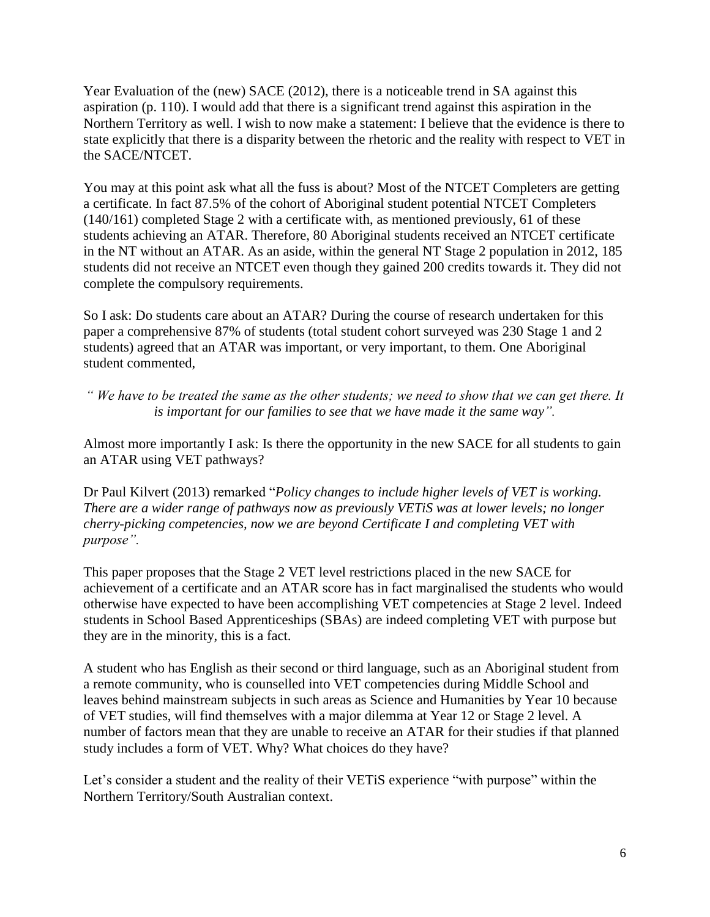Year Evaluation of the (new) SACE (2012), there is a noticeable trend in SA against this aspiration (p. 110). I would add that there is a significant trend against this aspiration in the Northern Territory as well. I wish to now make a statement: I believe that the evidence is there to state explicitly that there is a disparity between the rhetoric and the reality with respect to VET in the SACE/NTCET.

You may at this point ask what all the fuss is about? Most of the NTCET Completers are getting a certificate. In fact 87.5% of the cohort of Aboriginal student potential NTCET Completers (140/161) completed Stage 2 with a certificate with, as mentioned previously, 61 of these students achieving an ATAR. Therefore, 80 Aboriginal students received an NTCET certificate in the NT without an ATAR. As an aside, within the general NT Stage 2 population in 2012, 185 students did not receive an NTCET even though they gained 200 credits towards it. They did not complete the compulsory requirements.

So I ask: Do students care about an ATAR? During the course of research undertaken for this paper a comprehensive 87% of students (total student cohort surveyed was 230 Stage 1 and 2 students) agreed that an ATAR was important, or very important, to them. One Aboriginal student commented,

*" We have to be treated the same as the other students; we need to show that we can get there. It is important for our families to see that we have made it the same way".* 

Almost more importantly I ask: Is there the opportunity in the new SACE for all students to gain an ATAR using VET pathways?

Dr Paul Kilvert (2013) remarked "*Policy changes to include higher levels of VET is working. There are a wider range of pathways now as previously VETiS was at lower levels; no longer cherry-picking competencies, now we are beyond Certificate I and completing VET with purpose".*

This paper proposes that the Stage 2 VET level restrictions placed in the new SACE for achievement of a certificate and an ATAR score has in fact marginalised the students who would otherwise have expected to have been accomplishing VET competencies at Stage 2 level. Indeed students in School Based Apprenticeships (SBAs) are indeed completing VET with purpose but they are in the minority, this is a fact.

A student who has English as their second or third language, such as an Aboriginal student from a remote community, who is counselled into VET competencies during Middle School and leaves behind mainstream subjects in such areas as Science and Humanities by Year 10 because of VET studies, will find themselves with a major dilemma at Year 12 or Stage 2 level. A number of factors mean that they are unable to receive an ATAR for their studies if that planned study includes a form of VET. Why? What choices do they have?

Let's consider a student and the reality of their VETiS experience "with purpose" within the Northern Territory/South Australian context.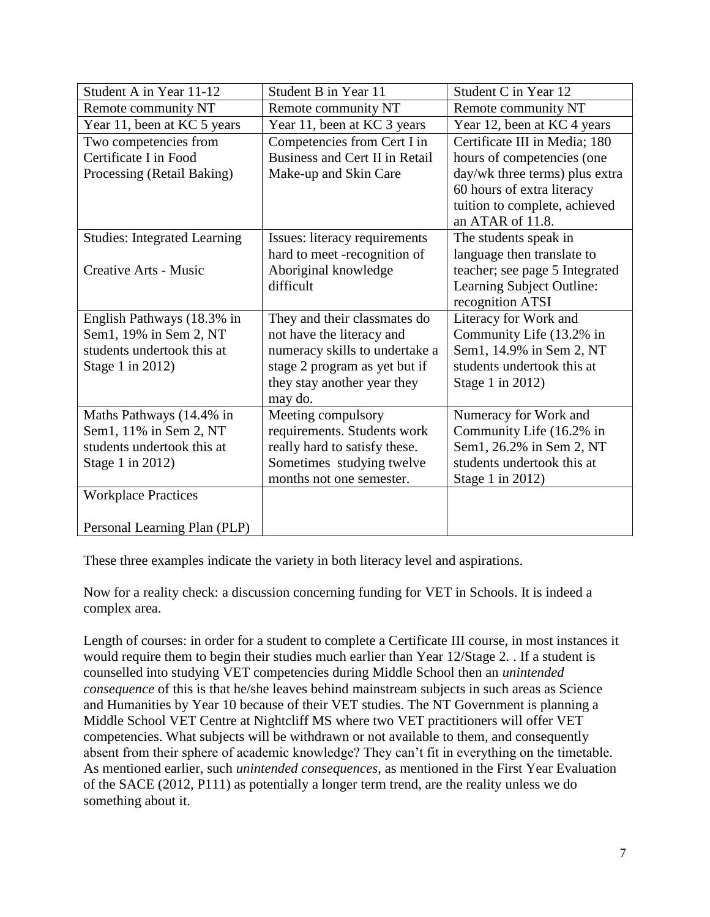| Student A in Year 11-12             | Student B in Year 11           | Student C in Year 12           |
|-------------------------------------|--------------------------------|--------------------------------|
| Remote community NT                 | Remote community NT            | Remote community NT            |
| Year 11, been at KC 5 years         | Year 11, been at KC 3 years    | Year 12, been at KC 4 years    |
| Two competencies from               | Competencies from Cert I in    | Certificate III in Media; 180  |
| Certificate I in Food               | Business and Cert II in Retail | hours of competencies (one     |
| Processing (Retail Baking)          | Make-up and Skin Care          | day/wk three terms) plus extra |
|                                     |                                | 60 hours of extra literacy     |
|                                     |                                | tuition to complete, achieved  |
|                                     |                                | an ATAR of 11.8.               |
| <b>Studies: Integrated Learning</b> | Issues: literacy requirements  | The students speak in          |
|                                     | hard to meet -recognition of   | language then translate to     |
| Creative Arts - Music               | Aboriginal knowledge           | teacher; see page 5 Integrated |
|                                     | difficult                      | Learning Subject Outline:      |
|                                     |                                | recognition ATSI               |
| English Pathways (18.3% in          | They and their classmates do   | Literacy for Work and          |
| Sem1, 19% in Sem 2, NT              | not have the literacy and      | Community Life (13.2% in       |
| students undertook this at          | numeracy skills to undertake a | Sem1, 14.9% in Sem 2, NT       |
| Stage 1 in 2012)                    | stage 2 program as yet but if  | students undertook this at     |
|                                     | they stay another year they    | Stage 1 in 2012)               |
|                                     | may do.                        |                                |
| Maths Pathways (14.4% in            | Meeting compulsory             | Numeracy for Work and          |
| Sem1, 11% in Sem 2, NT              | requirements. Students work    | Community Life (16.2% in       |
| students undertook this at          | really hard to satisfy these.  | Sem1, 26.2% in Sem 2, NT       |
| Stage 1 in 2012)                    | Sometimes studying twelve      | students undertook this at     |
|                                     | months not one semester.       | Stage 1 in 2012)               |
| <b>Workplace Practices</b>          |                                |                                |
|                                     |                                |                                |
| Personal Learning Plan (PLP)        |                                |                                |

These three examples indicate the variety in both literacy level and aspirations.

Now for a reality check: a discussion concerning funding for VET in Schools. It is indeed a complex area.

Length of courses: in order for a student to complete a Certificate III course, in most instances it would require them to begin their studies much earlier than Year 12/Stage 2. . If a student is counselled into studying VET competencies during Middle School then an *unintended consequence* of this is that he/she leaves behind mainstream subjects in such areas as Science and Humanities by Year 10 because of their VET studies. The NT Government is planning a Middle School VET Centre at Nightcliff MS where two VET practitioners will offer VET competencies. What subjects will be withdrawn or not available to them, and consequently absent from their sphere of academic knowledge? They can't fit in everything on the timetable. As mentioned earlier, such *unintended consequences*, as mentioned in the First Year Evaluation of the SACE (2012, P111) as potentially a longer term trend, are the reality unless we do something about it.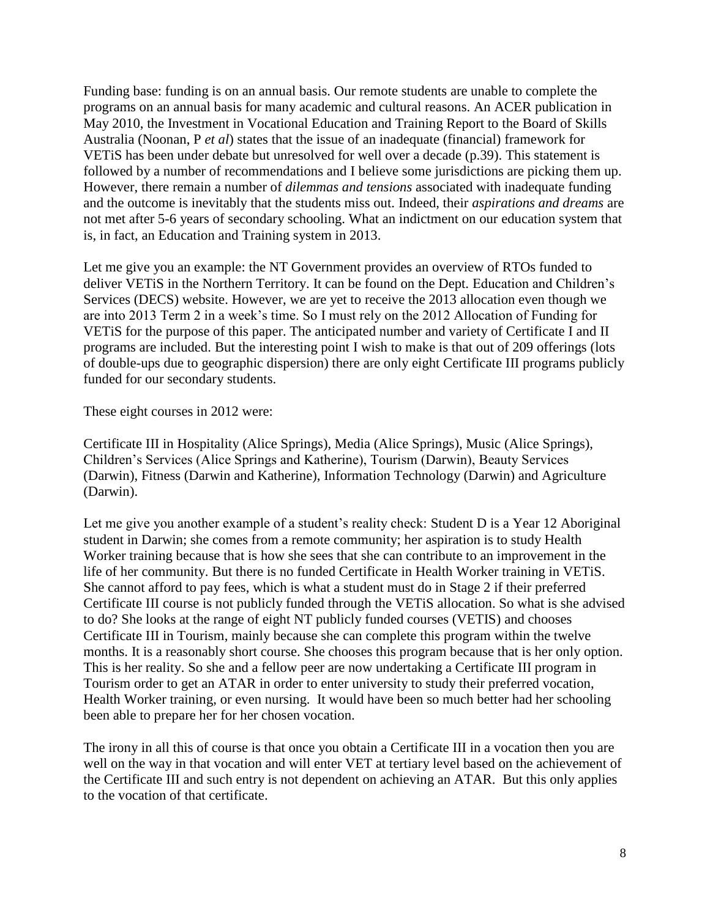Funding base: funding is on an annual basis. Our remote students are unable to complete the programs on an annual basis for many academic and cultural reasons. An ACER publication in May 2010, the Investment in Vocational Education and Training Report to the Board of Skills Australia (Noonan, P *et al*) states that the issue of an inadequate (financial) framework for VETiS has been under debate but unresolved for well over a decade (p.39). This statement is followed by a number of recommendations and I believe some jurisdictions are picking them up. However, there remain a number of *dilemmas and tensions* associated with inadequate funding and the outcome is inevitably that the students miss out. Indeed, their *aspirations and dreams* are not met after 5-6 years of secondary schooling. What an indictment on our education system that is, in fact, an Education and Training system in 2013.

Let me give you an example: the NT Government provides an overview of RTOs funded to deliver VETiS in the Northern Territory. It can be found on the Dept. Education and Children's Services (DECS) website. However, we are yet to receive the 2013 allocation even though we are into 2013 Term 2 in a week's time. So I must rely on the 2012 Allocation of Funding for VETiS for the purpose of this paper. The anticipated number and variety of Certificate I and II programs are included. But the interesting point I wish to make is that out of 209 offerings (lots of double-ups due to geographic dispersion) there are only eight Certificate III programs publicly funded for our secondary students.

These eight courses in 2012 were:

Certificate III in Hospitality (Alice Springs), Media (Alice Springs), Music (Alice Springs), Children's Services (Alice Springs and Katherine), Tourism (Darwin), Beauty Services (Darwin), Fitness (Darwin and Katherine), Information Technology (Darwin) and Agriculture (Darwin).

Let me give you another example of a student's reality check: Student D is a Year 12 Aboriginal student in Darwin; she comes from a remote community; her aspiration is to study Health Worker training because that is how she sees that she can contribute to an improvement in the life of her community. But there is no funded Certificate in Health Worker training in VETiS. She cannot afford to pay fees, which is what a student must do in Stage 2 if their preferred Certificate III course is not publicly funded through the VETiS allocation. So what is she advised to do? She looks at the range of eight NT publicly funded courses (VETIS) and chooses Certificate III in Tourism, mainly because she can complete this program within the twelve months. It is a reasonably short course. She chooses this program because that is her only option. This is her reality. So she and a fellow peer are now undertaking a Certificate III program in Tourism order to get an ATAR in order to enter university to study their preferred vocation, Health Worker training, or even nursing. It would have been so much better had her schooling been able to prepare her for her chosen vocation.

The irony in all this of course is that once you obtain a Certificate III in a vocation then you are well on the way in that vocation and will enter VET at tertiary level based on the achievement of the Certificate III and such entry is not dependent on achieving an ATAR. But this only applies to the vocation of that certificate.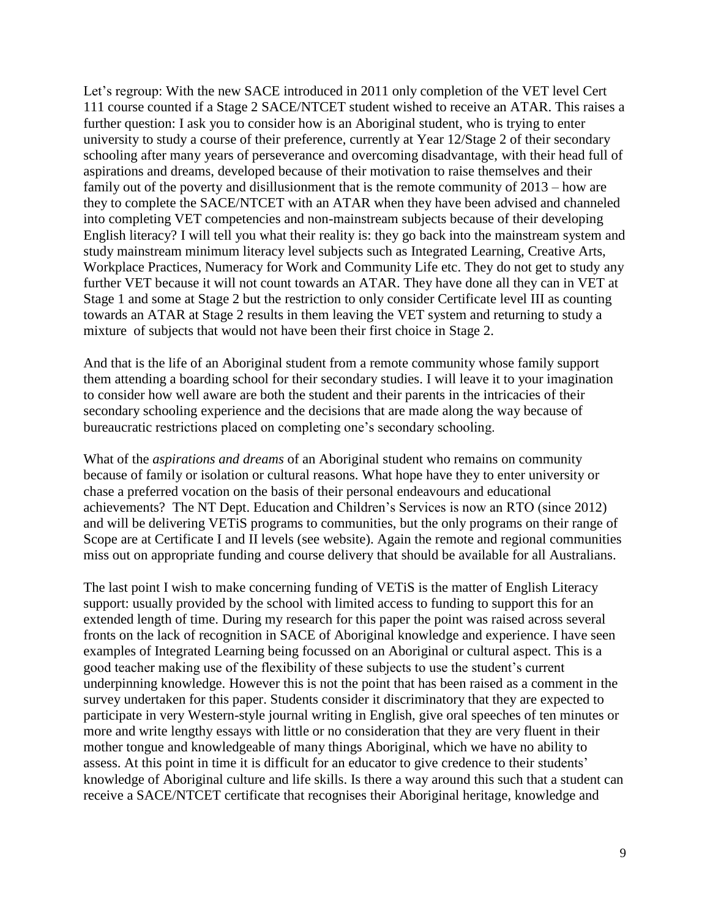Let's regroup: With the new SACE introduced in 2011 only completion of the VET level Cert 111 course counted if a Stage 2 SACE/NTCET student wished to receive an ATAR. This raises a further question: I ask you to consider how is an Aboriginal student, who is trying to enter university to study a course of their preference, currently at Year 12/Stage 2 of their secondary schooling after many years of perseverance and overcoming disadvantage, with their head full of aspirations and dreams, developed because of their motivation to raise themselves and their family out of the poverty and disillusionment that is the remote community of 2013 – how are they to complete the SACE/NTCET with an ATAR when they have been advised and channeled into completing VET competencies and non-mainstream subjects because of their developing English literacy? I will tell you what their reality is: they go back into the mainstream system and study mainstream minimum literacy level subjects such as Integrated Learning, Creative Arts, Workplace Practices, Numeracy for Work and Community Life etc. They do not get to study any further VET because it will not count towards an ATAR. They have done all they can in VET at Stage 1 and some at Stage 2 but the restriction to only consider Certificate level III as counting towards an ATAR at Stage 2 results in them leaving the VET system and returning to study a mixture of subjects that would not have been their first choice in Stage 2.

And that is the life of an Aboriginal student from a remote community whose family support them attending a boarding school for their secondary studies. I will leave it to your imagination to consider how well aware are both the student and their parents in the intricacies of their secondary schooling experience and the decisions that are made along the way because of bureaucratic restrictions placed on completing one's secondary schooling.

What of the *aspirations and dreams* of an Aboriginal student who remains on community because of family or isolation or cultural reasons. What hope have they to enter university or chase a preferred vocation on the basis of their personal endeavours and educational achievements? The NT Dept. Education and Children's Services is now an RTO (since 2012) and will be delivering VETiS programs to communities, but the only programs on their range of Scope are at Certificate I and II levels (see website). Again the remote and regional communities miss out on appropriate funding and course delivery that should be available for all Australians.

The last point I wish to make concerning funding of VETiS is the matter of English Literacy support: usually provided by the school with limited access to funding to support this for an extended length of time. During my research for this paper the point was raised across several fronts on the lack of recognition in SACE of Aboriginal knowledge and experience. I have seen examples of Integrated Learning being focussed on an Aboriginal or cultural aspect. This is a good teacher making use of the flexibility of these subjects to use the student's current underpinning knowledge. However this is not the point that has been raised as a comment in the survey undertaken for this paper. Students consider it discriminatory that they are expected to participate in very Western-style journal writing in English, give oral speeches of ten minutes or more and write lengthy essays with little or no consideration that they are very fluent in their mother tongue and knowledgeable of many things Aboriginal, which we have no ability to assess. At this point in time it is difficult for an educator to give credence to their students' knowledge of Aboriginal culture and life skills. Is there a way around this such that a student can receive a SACE/NTCET certificate that recognises their Aboriginal heritage, knowledge and